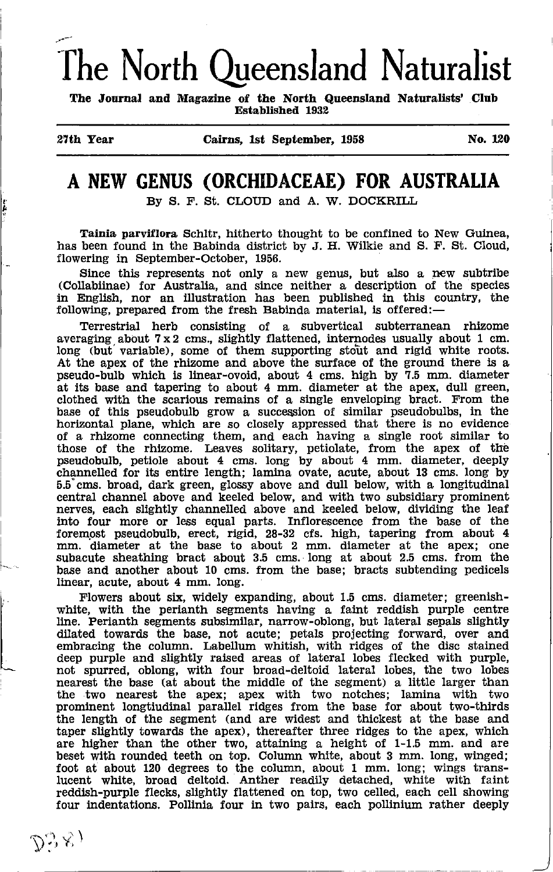# The North Queensland Naturalist

The Journal and Magazine of the North Queensland Naturalists' Club Established 1932

### A NEW GENUS (ORCHIDACEAE) FOR AUSTRALIA

By S. F. St. CLOUD and A. W. DOCKRILL

Tainia parviflora Schltr, hitherto thought to be confined to New Guinea, has been found in the Babinda district by J. H. Wilkie and S. F. St. Cloud, flowering in September-October, 1956.

Since this represents not only a new genus, but also a new subtribe (Collabiinae) for Awtralia, and since neither a description of the species in English, nor an illustration has been published in this country, the following, prepared from the fresh Babinda material, is offered:-

Terrestrial herb consisting of a subvertical subterranean rhizome averaging about 7x2 cms,, slightly flattened, internodes usually about 1 cm. long (but variable), some of them supporting stout and rigid white roots. At the apex of the rhizome and above the surface of the ground there ls a pseudo-bulb which is linear-ovoid, about 4 cms. high by ?.5 mm. diameter at its base and tapering to about 4 mm. diameter at the apex, dull green, clothed with the scarlous remains of a strgle enveloping bract. From the base of this pseudobulb grow a succession of similar pseudobulbs, in the horizontal plane, which are so closely appressed that there is no evidence of a rhizome connecting them, and each having a single root similar to those of the rhizome. Leaves solitary, petiolate, from the apex of the pseudobulb, petiole about 4 curs. long by about 4 mm. diameter, deeply channelled for its entire length; lamina ovate, acute, about 13 cms. long by 5.5"cms. broad, dark green, glossy above and dull below, with a longitudtnal central channel above and keeled below, and with two subsidiary prominent nerves, each slightly channelled above and keeled below, dividing the leaf into four more or less equal parts. Inflorescence from the base of the foremost pseudobulb, erect, rigid, 28-32 cfs. high, tapering from about 4 mm. diameter at the base to about 2 mm. diameter at the apex; one subacute sheathing bract about 3.5 cms. long at about 2.5 cms. from the base and another about 10 cms. from the base; bracts subtending pedicels linear, acute, about 4 mm. long.

Flowers about six, widely expanding, about 1.5 cms. diameter; greenishwhite, with the perianth segments having a faint reddish purple centre<br>line. Perianth segments subsimilar, narrow-oblong, but lateral sepals slightly dilated towards the base, not acute; petals projecting forward, over and embracing the column. Labellum whitish, with ridges of the disc stained deep purple and slightly raised areas of lateral lobes flecked with purple, not spurred, oblong, with four broad-deltoid lateral lobes, the two lobes nearest the base (at about the middle of the segment) a little larger than the two nearest the apex; apex with two notches; lamina with two prominent longtiudinal parallel ridges from the base for about two-thirds the length of the segment (and are wldest and thickest at the base and taper slightly towards the apex), thereafter three ridges to the apex, which are higher than the other two, attaining a height of 1-1.5 mm. and are beset wtth rounded teeth on top. Column white, about 3 mm. long, winged; foot at about 120 degrees to the column, about 1 mm. long; wings trans-lucent white, broad deltoid. Anther readily detached, white with faint reddish-purple flecks, slightly flattened on top, two celled, each cell showing four indentations. Pollinia four in two pairs, each pollinium rather deeply

 $\vdash$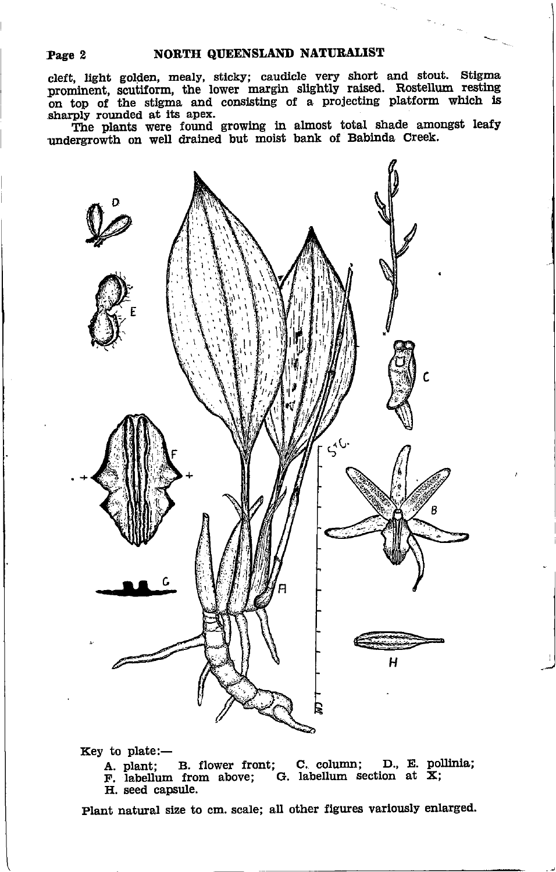cleft, light golden, mealy, sticky; caudicle very short and stout. Stigma prominent, scutiform, the lower margin slightly raised. Rostellum on top of the stigma and consisting of a projecting platform which is sharply rounded at its apex.

The plants were found growing in almost total shade amongst leafy undergrowth on well drained but moist bank of Babinda Creek.



Key to plate:-

A. plant; B. flower front; C. column; D., E. pollinia<br>F. labellum from above; G. labellum section at X; H. seed capsule.

Plant natural size to cm. scale; all other figures varlously enlarged.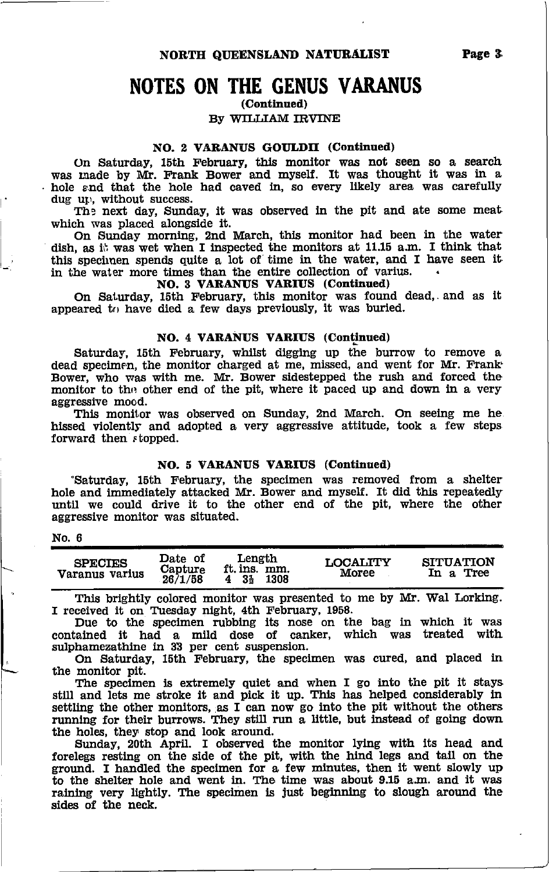NORTH QUEENSLAND NATURALIST

### NOTES ON THE GENUS VARANUS

(Continued)

BY WILLIAM IRVINE

#### NO. 2 VARANUS GOULDII (Continued)

On Saturday, 15th February, this monitor was not seen so a search was made by Mr. Frank Bower and myself. It was thought it was in a hole and that the hole had caved in, so every likely area was carefully dug up, without success.

The next day, Sunday, it was observed in the pit and ate some meat which was placed alongside it.

On Sunday morning, 2nd March, this monitor had been in the water dish, as ill was wet when I inspected the monitors at 11.15 a.m. I think that this specimen spends quite a lot of time in the water, and I have seen it in the water more times than the entire collection of varius.

#### NO. 3 VARANUS VARIUS (Continued)

On Saturday, 15th February, this monitor was found dead, and as it appeared to have died a few days previously, it was buried.

#### NO. 4 VARANUS VARIUS (Continued)

Saturday, 15th February, whilst digging up the burrow to remove a dead specimen, the monitor charged at me, missed, and went for Mr. Frank Bower, who was with me. Mr, Bower sidestepped the rush and forced the monitor to the other end of the pit, where it paced up and down in a very aggressive mood.

This monitor was observed on Sunday, 2nd March. On seeing me he hlssed violently and adopted a very aggresslve attitude, took a few steps forward then *stopped*.

#### NO. 5 VARANUS VARIUS (Continued)

"Saturday, 15th February, the speclmen was removed from a shelter hole and immediately attacked Mr. Bower and myself. It did this repeatedly until we could drive it to the other end of the pit, where the other aggresslve monitor was situated.

#### No. 6

t-

| <b>SPECIES</b><br>Varanus varius | Date of<br>Capture<br>26/1/58 | Length<br>ft. ins. mm.<br>$4 \t35$<br>1308 | <b>LOCALITY</b><br>Moree | <b>SITUATION</b><br>In a Tree |
|----------------------------------|-------------------------------|--------------------------------------------|--------------------------|-------------------------------|
|                                  |                               |                                            |                          |                               |

This brightly colored monitor was presented to me by Mr. Wal Lorking. I received it on Tuesday night, 4th February, 1958.

Due to tbe specimen rubbing its nose on the bag in whlch it was contained tt had a mild dose of canker, which was treated with sulphamezathine in 33 per cent suspension.

On Saturday, 15th February, the speclmen was cuted, and placed in the monitor pit.

The specimen is extremely quiet and when I go into the pit it stays still and lets me stroke lt and plck it up. This has helped considerably ln settling the other monitors, as I can now go into the pit without the others running for their burrows. They still run a little, but instead of going down the holes, they stop and look around.

Sunday, 20th April. I observed the monitor lying with tts head and forelegs restlng on the slde of the plt, wlth the hind legs and tail on the ground. I handled the speclmen for a few mlnutes, then lt weut slowly up to the shelter hole and went in. The time was about 9.15 a.m. and it was raining very lightly. The specimen is just beginning to slough around the sides of tbe neck,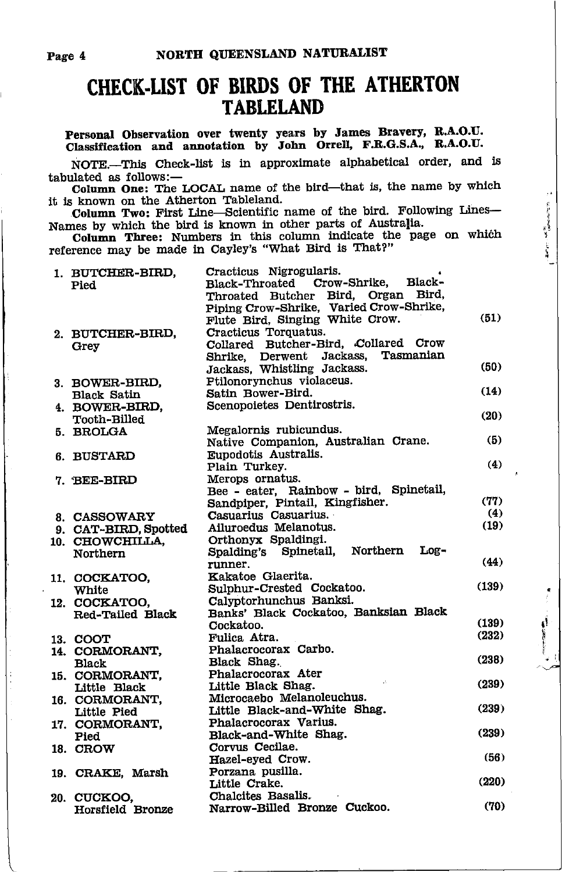### CHECK.UST OF BIRDS OF THE ATHERTON TABLELAND

Personal Observation over twenty years by James Bravery, R.A.O.U<br>Classification and annotation by John Orrell, F.R.G.S.A., R.A.O.U

NOTE.-This Check-list is in approximate alphabetical order, and is tabulated as follows:-

Column One: The LOCAL name of the bird-that is, the name by whlch it is known on the Atherton Tableland.

Column Two: First Line-Scientific name of the bird. Following Lines-Names by which the bird is known in other parts of Australia.

Column Three: Numbers in this column indicate the page on which reference may be made ln Cayley's "What Blrd is That?"

**Andrew Manufacture** 

ģ.

| 1. BUTCHER-BIRD,     | Cracticus Nigrogularis.                 |       |
|----------------------|-----------------------------------------|-------|
| Pied                 | Black-<br>Black-Throated Crow-Shrike,   |       |
|                      | Throated Butcher Bird, Organ Bird,      |       |
|                      | Piping Crow-Shrike, Varied Crow-Shrike, |       |
|                      | Flute Bird, Singing White Crow.         | (51)  |
| 2. BUTCHER-BIRD,     | Cracticus Torquatus.                    |       |
| Grey                 | Collared Butcher-Bird, Collared Crow    |       |
|                      | Tasmanian<br>Shrike, Derwent Jackass,   |       |
|                      | Jackass, Whistling Jackass.             | (50)  |
| 3. BOWER-BIRD,       | Ptilonorynchus violaceus.               |       |
| <b>Black Satin</b>   | Satin Bower-Bird.                       | (14)  |
| 4. BOWER-BIRD.       | Scenopoietes Dentirostris.              |       |
| Tooth-Billed         |                                         | (20)  |
| 5. BROLGA            | Megalornis rubicundus.                  |       |
|                      | Native Companion, Australian Crane.     | (5)   |
| 6. BUSTARD           | Eupodotis Australis.                    |       |
|                      | Plain Turkey.                           | (4)   |
| 7. BEE-BIRD          | Merops ornatus.                         |       |
|                      | Bee - eater, Rainbow - bird, Spinetail, |       |
|                      | Sandpiper, Pintail, Kingfisher.         | (77)  |
| 8. CASSOWARY         | Casuarius Casuarius.                    | (4)   |
| 9. CAT-BIRD, Spotted | Ailuroedus Melanotus.                   | (19)  |
| 10. CHOWCHILLA.      | Orthonyx Spaldingi.                     |       |
| Northern             | Spalding's Spinetail, Northern<br>Log-  |       |
|                      | runner.                                 | (44)  |
| 11. COCKATOO,        | Kakatoe Glaerita.                       |       |
| White                | Sulphur-Crested Cockatoo.               | (139) |
| 12. COCKATOO,        | Calyptorhunchus Banksi.                 |       |
| Red-Tailed Black     | Banks' Black Cockatoo, Banksian Black   |       |
|                      | Cockatoo.                               | (139) |
| 13. COOT             | Fulica Atra.                            | (232) |
| 14. CORMORANT,       | Phalacrocorax Carbo.                    |       |
| <b>Black</b>         | Black Shag.                             | (238) |
| 15. CORMORANT,       | Phalacrocorax Ater                      |       |
| Little Black         | Little Black Shag.                      | (239) |
| 16. CORMORANT.       | Microcaebo Melanoleuchus.               |       |
| Little Pied          | Little Black-and-White Shag.            | (239) |
| 17. CORMORANT,       | Phalacrocorax Varius.                   |       |
| Pied                 | Black-and-White Shag.                   | (239) |
| 18. CROW             | Corvus Cecilae.                         |       |
|                      | Hazel-eyed Crow.                        | (56)  |
| 19. CRAKE, Marsh     | Porzana pusilla.                        |       |
|                      | Little Crake.                           | (220) |
| 20. CUCKOO.          | Chalcites Basalis.                      |       |
| Horsfield Bronze     | Narrow-Billed Bronze Cuckoo.            | (70)  |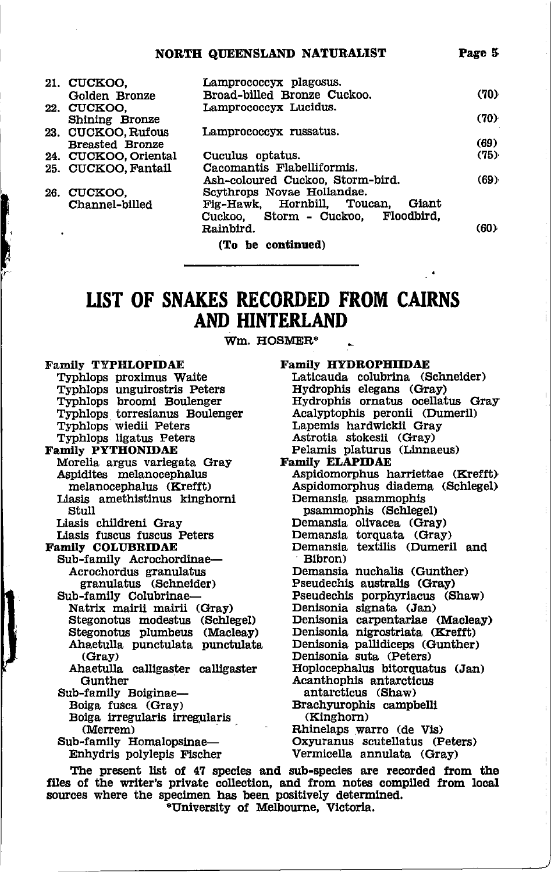#### Page 5 NORTH QUEENSLAND NATURALIST

| 21. CUCKOO,            | Lamprococcyx plagosus.                |      |
|------------------------|---------------------------------------|------|
| Golden Bronze          | Broad-billed Bronze Cuckoo.           | (70) |
| 22. CUCKOO.            | Lamprococcyx Lucidus.                 |      |
| <b>Shining Bronze</b>  |                                       | (70) |
| 23. CUCKOO, Rufous     | Lamprococcyx russatus.                |      |
| <b>Breasted Bronze</b> |                                       | (69) |
| 24. CUCKOO, Oriental   | Cuculus optatus.                      | (75) |
| 25. CUCKOO, Fantail    | Cacomantis Flabelliformis.            |      |
|                        | Ash-coloured Cuckoo, Storm-bird.      | (69) |
| 26. CUCKOO.            | Scythrops Novae Hollandae.            |      |
| Channel-billed         | Fig-Hawk, Hornbill, Toucan,<br>Giant  |      |
|                        | Cuckoo, Storm - Cuckoo,<br>Floodbird. |      |
|                        | Rainbird.                             | (60) |
|                        | (To be continued)                     |      |

### UST OF SNAKES RECORDED FROM CAIRNS **AND HINTERLAND**

Wm. HOSMER\*

Family TYPHLOPIDAE Typhlops proxlmus Waite Typhlops unguirostris Peters Typhlops broomi Boulenger Typhlops torresianus Boulenger Typhlops wledii Peters Typhlops ligatus Peters Family PYTHONIDAE Morella argus variegata Gray Asptdites melanocephalus melanocephalus (Krefft) Liasis amethistinus kinghorni Stull Liasis childreni Gray Liasls fuscus fuscus Peters Famlly COLUBRIDAE Sub-family Acrochordinae-Acrochordus granulatus granulatus (Schneider) Sub-family Colubrinae-Natrix mairii mairii (Gray) Stegonotus modestus (Schlegel) Stegonotus plumbeus (Macleay) Ahaetulla punctulata punctulata (GraY) Sub-family Boiginae-Boiga fusca (Gray) Bolga lrregularis irregglaris (Merrem) Sub-family Homalopsinae-Enhydris polylepis Flscher Family HYDROPHIIDAE Laticauda colubrina (Schneider) Hydrophis elegans (<mark>Gray)</mark><br>Hydrophis ornatus ocellatus Gray Acalyptophis peronii (Dumeril) Lapemis hardwickil Gray Astrotia stokesii (Gray) Pelamis platurus (Linnaeus) Family ELAPIDAE Aspldomorphus harriettae (Krcfft) Aspidomorphus diadema (Schlegel) Demansia psammophis psammophis (Schlegel) Demansia olivacea (Gray) Demansla torquata (Gray) Demansia textilis (Dumeril and Blbron) Demansla nuchalis (Gunther) Pseudechls awtralls (Gray) Pseudechis porphyriacus (Shaw) Denisonia signata (Jan) Denisonia carpentariae (Macleay) Denisonia nlgrostriata (Krefft) Denisonia pallidiceps (Gunther) Gray)<br>
Ahaetulla calligaster calligaster Iloplocephalus bitorquatus (Jan) antarctlcus (Shaw) Brachyurophis campbelli (Kinghorn) Rhinelaps warro (de Vis) Oxyuranus scutellatus (Peters) Vermicella annulata (Gray) Ahaetulla calligaster calligaster Hoplocephalus bitorquation antarcticus<br>  $\alpha$ canthophis antarcticus

The present list of 47 species and sub-species are recorded from the files of the writer's private collection, and from notes compiled from local sources where the specimen has been positively determined.<br>\*University of Melbourne, Victoria.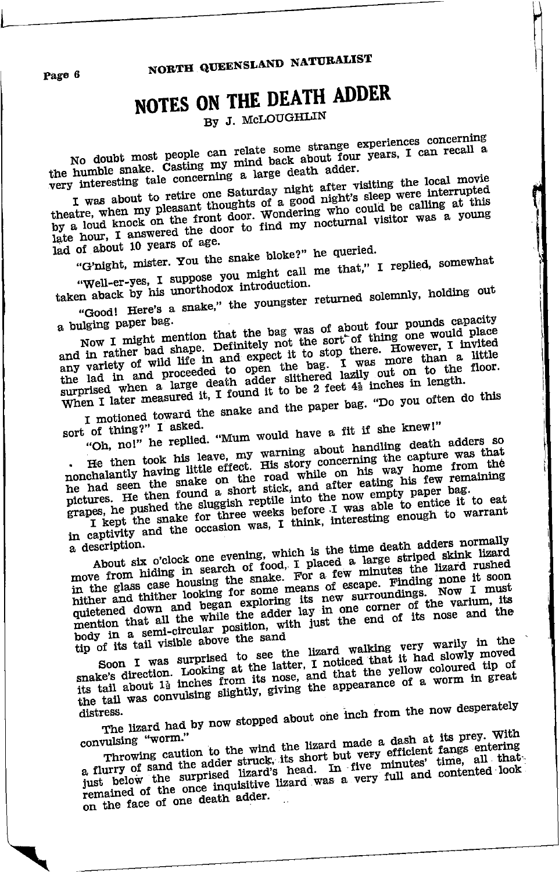NORTH QUEENSLAND NATURALIST

## NOTES ON THE DEATH ADDER

By J. McLOUGHLIN

No doubt most people can relate some strange experiences concerning the humble snake. Casting my mind back about four years, I can recall a very interesting tale concerning a large death adder.

I was about to retire one Saturday night after visiting the local movie The above the state of a good night's sleep were interrupted<br>theatre, when my pleasant thoughts of a good night's sleep were interrupted<br>by a loud knock on the front door. Wondering who could be calling at this<br>late hour,

lad of about 10 years of age.

"G'night, mister. You the snake bloke?" he queried. "Well-er-yes, I suppose you might call me that," I replied, somewhat

taken aback by his unorthodox introduction. "Good! Here's a snake," the youngster returned solemnly, holding out

Now I might mention that the bag was of about four pounds capacity a bulging paper bag.

and in rather bad shape. Definitely not the sort of thing one would place any variety of wild life in and expect it to stop there. However, I invited the lad in and proceeded to open the bag. I was more than a little surprised when a little surprised when a little When I later measured it, I found it to be 2 feet 4<sup>3</sup> inches in length.

I motioned toward the snake and the paper bag. "Do you often do this

sort of thing?" I asked.

"Oh, no!" he replied. "Mum would have a fit if she knew!" . He then took his leave, my warning about handling death adders so nonchalantly having little effect. His story concerning the capture was that he had seen the snake on the road while on his way home from the pictures. He then found a short stick, and after eating his few remaining

grapes, he pushed the sluggish reptile into the now empty paper bag. I kept the snake for three weeks before I was able to entice it to eat I Kept the shake for three weeks before it was able to entitle it to eat

About six o'clock one evening, which is the time death adders normally a description.

move from hiding in search of food, I placed a large striped skink lizard<br>in the glass case housing the snake. For a few minutes the lizard rushed<br>in the glass case housing the snake. For a few minutes the lizard In the grass case moments one or some means of escape. Finding none it soon quietened down and began exploring its new surroundings. Now I must quietened down and began exploring its new surroundings. Now I must quietened down and began exploring its new surroundings. Now I must holivation was an extreme and the same that the end of its nose and the body in a semi-circular position, with just the end of its nose and the tip of its tail visible above the sand

Soon I was surprised to see the lizard walking very warily in the snake's direction. Looking at the latter, I noticed that it had slowly moved its tail about 1<sup>3</sup> inches from its nose, and that the yellow coloured tip of the tail was convulsing slightly, giving the appearance of a worm in great

The lizard had by now stopped about one inch from the now desperately distress.

Throwing caution to the wind the lizard made a dash at its prey. With convulsing "worm." a flurry of sand the adder struck, its short but very efficient fangs entering a nurry or sand the aquer struct, its short put very ennounced time, all that just below the surprised lizard's head. In five minutes' time, all that remained of the once inquisitive lizard was a very full and contented look on the face of one death adder.

Page 6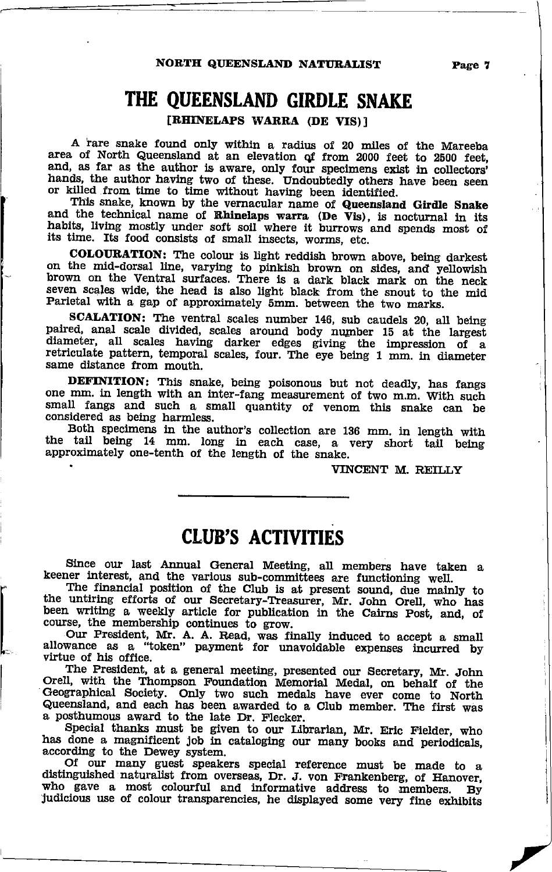,-

### THE OUEENSLAND GIRDLE SNAKE

[RHINELAPS WARRA (DE VIS)]

A rare snake found only within a radius of 20 miles of the Mareeba<br>area of North Queensland at an elevation of from 2000 feet to 2500 feet,<br>and, as far as the author is aware, only four specimens exist in collectors'<br>hands

nands, the author having two of these. Undoubtedly others have been seen<br>or killed from time to time without having been identified.<br>This snake, known by the vernacular name of Queensland Girdle Snake<br>and the technical nam habits, living mostly under soft soil where it burrows and spends most of its time. Its food consists of small insects, worms, etc.

COLOURATION: The colour is light reddish brown above, being darkest on the mid-dorsal line, varying to pinkish brown on sides, and yellowish brown on the ventral surfaces. There is a dark black mark on the neck seven scales wide, the head is also light black from the snout to the mid Parietal with a gap of approximately 5mm. between the two marks.<br>SCALATION: The ventral scales number 146, sub caudels 20, all being

paired, anal scale divided, scales around body number 15 at the largest diameter, all scales having darker edges giving the impression of a retriculate pattern, temporal scales, four. The eye being 1 mm. in diameter same distance from mouth.

**DEFINITION:** This snake, being poisonous but not deadly, has fangs one mm. in length with an inter-fang measurement of two m.m. With such small fangs and such a small quantity of venom this snake can be considered as being harmless.<br>Both specimens in the author's collection are 136 mm. in length with

the tail being 14 mm. long in each case, a very short tail being approximately one-tenth of the length of the snake.

VINCENT M. REILLY

### CIUB'S ACTIVITIES

Since our last Annual General Meeting, all members have taken a

keener interest, and the various sub-committees are functioning well.<br>The financial position of the Club is at present sound, due mainly to the untiring efforts of our Secretary-Treasurer, Mr. John Orell, who has The financial position of the Club is at present sound, due mainly to<br>the untiring efforts of our Secretary-Treasurer, Mr. John Orell, who has<br>been writing a weekly article for publication in the Cairns Post, and, of<br>cours

\_\_ Our Prosldent, 1\[r. A. A, Read, was finally induced to accept a small allowance as a "token" payment for unavoidable expenses iricurred by virtue of his offlce.

The President, at a general meeting, presented our Secretary, Mr. John Orell, with the Thompson Foundation Memorial Medal, on behalf of the Orell, with the Thompson Foundation Memorial Medal, on behalf of the Geographical Society. Only two such medals have ever come to North Queensland, and each has been awarded to a club menber. The first was a posthumous award to the late Dr. Flecker.<br>Special thanks must be given to our Librarian, Mr. Eric Fielder, who

has done a magnificent job in cataloging our many books and periodicals, according to the Dewey system.

according to the Dewey system. distinguished naturalist from overseas, Dr. J. von Frankenberg, of Hanover, who gave a most colourful and informative address to members. By judicious use of colour transparencies, he displayed some very fine exhibits